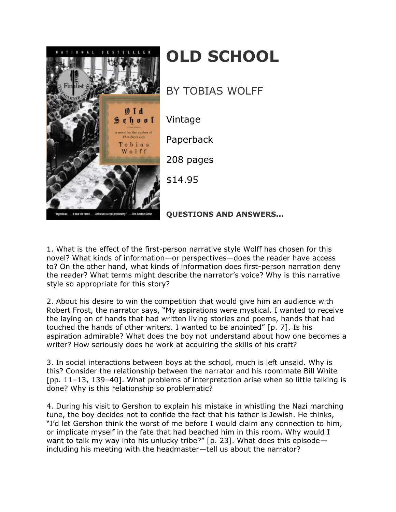

## **OLD SCHOOL**

BY TOBIAS WOLFF

Vintage

Paperback

208 pages

\$14.95

**QUESTIONS AND ANSWERS...**

1. What is the effect of the first-person narrative style Wolff has chosen for this novel? What kinds of information—or perspectives—does the reader have access to? On the other hand, what kinds of information does first-person narration deny the reader? What terms might describe the narrator's voice? Why is this narrative style so appropriate for this story?

2. About his desire to win the competition that would give him an audience with Robert Frost, the narrator says, "My aspirations were mystical. I wanted to receive the laying on of hands that had written living stories and poems, hands that had touched the hands of other writers. I wanted to be anointed" [p. 7]. Is his aspiration admirable? What does the boy not understand about how one becomes a writer? How seriously does he work at acquiring the skills of his craft?

3. In social interactions between boys at the school, much is left unsaid. Why is this? Consider the relationship between the narrator and his roommate Bill White [pp. 11–13, 139–40]. What problems of interpretation arise when so little talking is done? Why is this relationship so problematic?

4. During his visit to Gershon to explain his mistake in whistling the Nazi marching tune, the boy decides not to confide the fact that his father is Jewish. He thinks, "I'd let Gershon think the worst of me before I would claim any connection to him, or implicate myself in the fate that had beached him in this room. Why would I want to talk my way into his unlucky tribe?" [p. 23]. What does this episode including his meeting with the headmaster—tell us about the narrator?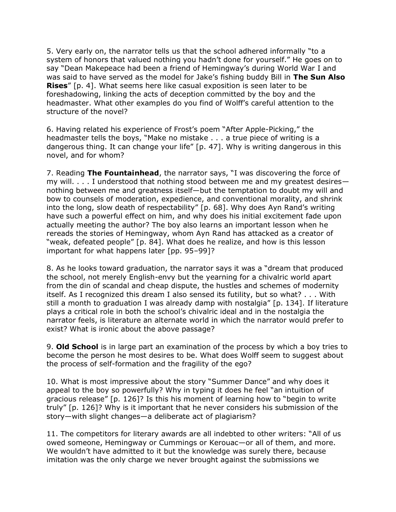5. Very early on, the narrator tells us that the school adhered informally "to a system of honors that valued nothing you hadn't done for yourself." He goes on to say "Dean Makepeace had been a friend of Hemingway's during World War I and was said to have served as the model for Jake's fishing buddy Bill in **The Sun Also Rises**" [p. 4]. What seems here like casual exposition is seen later to be foreshadowing, linking the acts of deception committed by the boy and the headmaster. What other examples do you find of Wolff's careful attention to the structure of the novel?

6. Having related his experience of Frost's poem "After Apple-Picking," the headmaster tells the boys, "Make no mistake . . . a true piece of writing is a dangerous thing. It can change your life" [p. 47]. Why is writing dangerous in this novel, and for whom?

7. Reading **The Fountainhead**, the narrator says, "I was discovering the force of my will. . . . I understood that nothing stood between me and my greatest desires nothing between me and greatness itself—but the temptation to doubt my will and bow to counsels of moderation, expedience, and conventional morality, and shrink into the long, slow death of respectability" [p. 68]. Why does Ayn Rand's writing have such a powerful effect on him, and why does his initial excitement fade upon actually meeting the author? The boy also learns an important lesson when he rereads the stories of Hemingway, whom Ayn Rand has attacked as a creator of "weak, defeated people" [p. 84]. What does he realize, and how is this lesson important for what happens later [pp. 95–99]?

8. As he looks toward graduation, the narrator says it was a "dream that produced the school, not merely English-envy but the yearning for a chivalric world apart from the din of scandal and cheap dispute, the hustles and schemes of modernity itself. As I recognized this dream I also sensed its futility, but so what? . . . With still a month to graduation I was already damp with nostalgia" [p. 134]. If literature plays a critical role in both the school's chivalric ideal and in the nostalgia the narrator feels, is literature an alternate world in which the narrator would prefer to exist? What is ironic about the above passage?

9. **Old School** is in large part an examination of the process by which a boy tries to become the person he most desires to be. What does Wolff seem to suggest about the process of self-formation and the fragility of the ego?

10. What is most impressive about the story "Summer Dance" and why does it appeal to the boy so powerfully? Why in typing it does he feel "an intuition of gracious release" [p. 126]? Is this his moment of learning how to "begin to write truly" [p. 126]? Why is it important that he never considers his submission of the story—with slight changes—a deliberate act of plagiarism?

11. The competitors for literary awards are all indebted to other writers: "All of us owed someone, Hemingway or Cummings or Kerouac—or all of them, and more. We wouldn't have admitted to it but the knowledge was surely there, because imitation was the only charge we never brought against the submissions we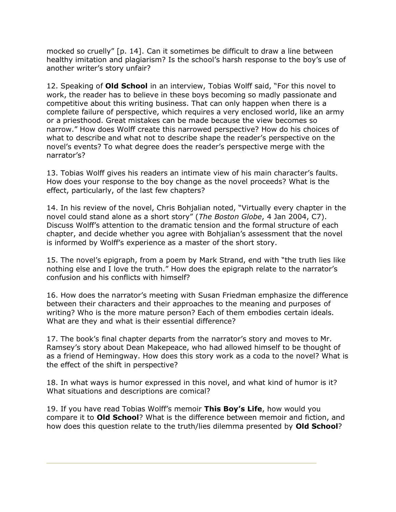mocked so cruelly" [p. 14]. Can it sometimes be difficult to draw a line between healthy imitation and plagiarism? Is the school's harsh response to the boy's use of another writer's story unfair?

12. Speaking of **Old School** in an interview, Tobias Wolff said, "For this novel to work, the reader has to believe in these boys becoming so madly passionate and competitive about this writing business. That can only happen when there is a complete failure of perspective, which requires a very enclosed world, like an army or a priesthood. Great mistakes can be made because the view becomes so narrow." How does Wolff create this narrowed perspective? How do his choices of what to describe and what not to describe shape the reader's perspective on the novel's events? To what degree does the reader's perspective merge with the narrator's?

13. Tobias Wolff gives his readers an intimate view of his main character's faults. How does your response to the boy change as the novel proceeds? What is the effect, particularly, of the last few chapters?

14. In his review of the novel, Chris Bohjalian noted, "Virtually every chapter in the novel could stand alone as a short story" (*The Boston Globe*, 4 Jan 2004, C7). Discuss Wolff's attention to the dramatic tension and the formal structure of each chapter, and decide whether you agree with Bohjalian's assessment that the novel is informed by Wolff's experience as a master of the short story.

15. The novel's epigraph, from a poem by Mark Strand, end with "the truth lies like nothing else and I love the truth." How does the epigraph relate to the narrator's confusion and his conflicts with himself?

16. How does the narrator's meeting with Susan Friedman emphasize the difference between their characters and their approaches to the meaning and purposes of writing? Who is the more mature person? Each of them embodies certain ideals. What are they and what is their essential difference?

17. The book's final chapter departs from the narrator's story and moves to Mr. Ramsey's story about Dean Makepeace, who had allowed himself to be thought of as a friend of Hemingway. How does this story work as a coda to the novel? What is the effect of the shift in perspective?

18. In what ways is humor expressed in this novel, and what kind of humor is it? What situations and descriptions are comical?

19. If you have read Tobias Wolff's memoir **This Boy's Life**, how would you compare it to **Old School**? What is the difference between memoir and fiction, and how does this question relate to the truth/lies dilemma presented by **Old School**?